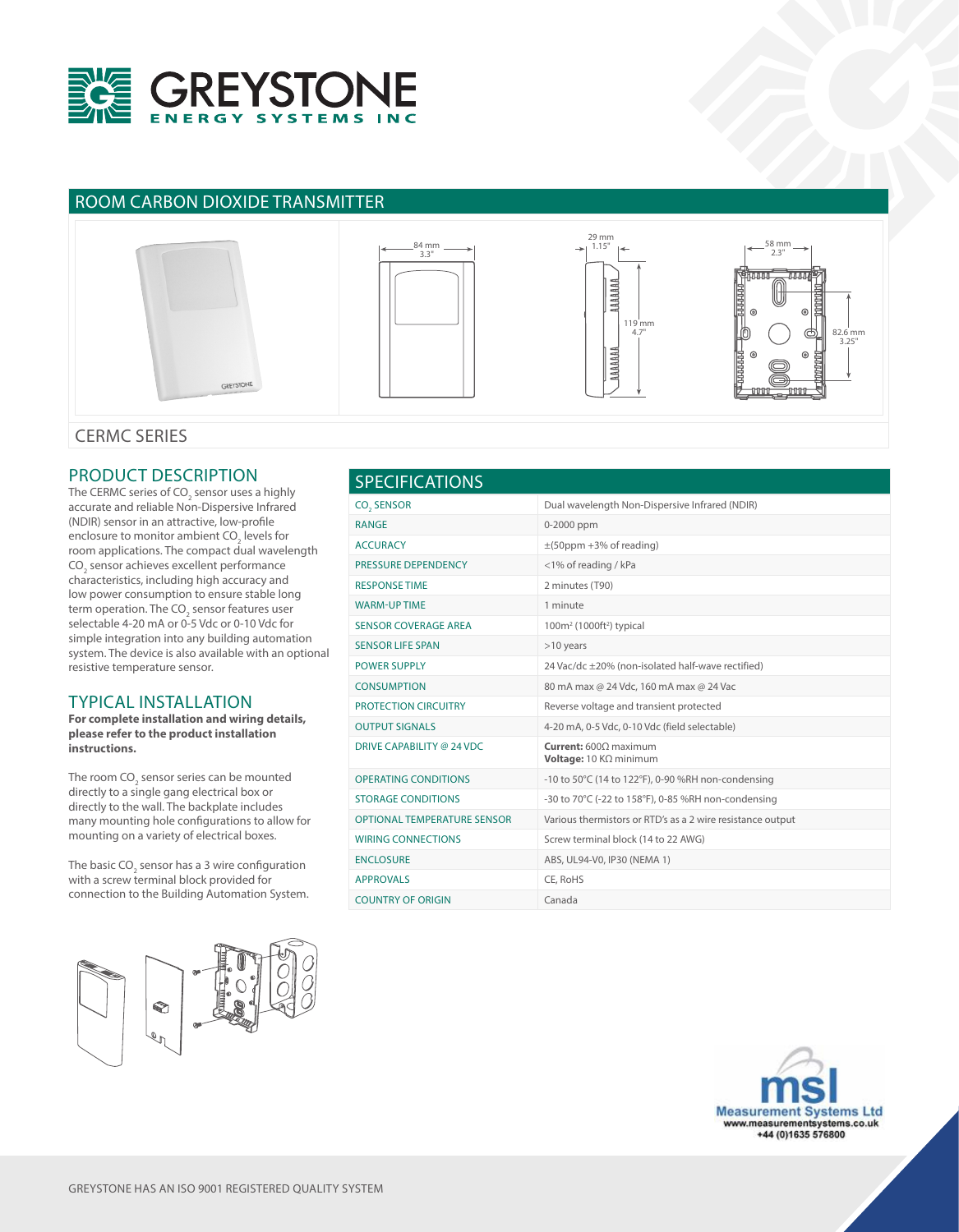

# ROOM CARBON DIOXIDE TRANSMITTER



### CERMC SERIES

### PRODUCT DESCRIPTION

The CERMC series of CO $_{\rm 2}$  sensor uses a highly accurate and reliable Non-Dispersive Infrared (NDIR) sensor in an attractive, low-profile enclosure to monitor ambient CO<sub>2</sub> levels for room applications. The compact dual wavelength CO<sub>2</sub> sensor achieves excellent performance characteristics, including high accuracy and low power consumption to ensure stable long term operation. The CO<sub>2</sub> sensor features user selectable 4-20 mA or 0-5 Vdc or 0-10 Vdc for simple integration into any building automation system. The device is also available with an optional resistive temperature sensor.

#### TYPICAL INSTALLATION

**For complete installation and wiring details, please refer to the product installation instructions.**

The room CO<sub>2</sub> sensor series can be mounted directly to a single gang electrical box or directly to the wall. The backplate includes many mounting hole configurations to allow for mounting on a variety of electrical boxes.

The basic CO<sub>2</sub> sensor has a 3 wire configuration with a screw terminal block provided for connection to the Building Automation System.







58 mm  $2.3"$ 

> $82.6$  mm 3.25"